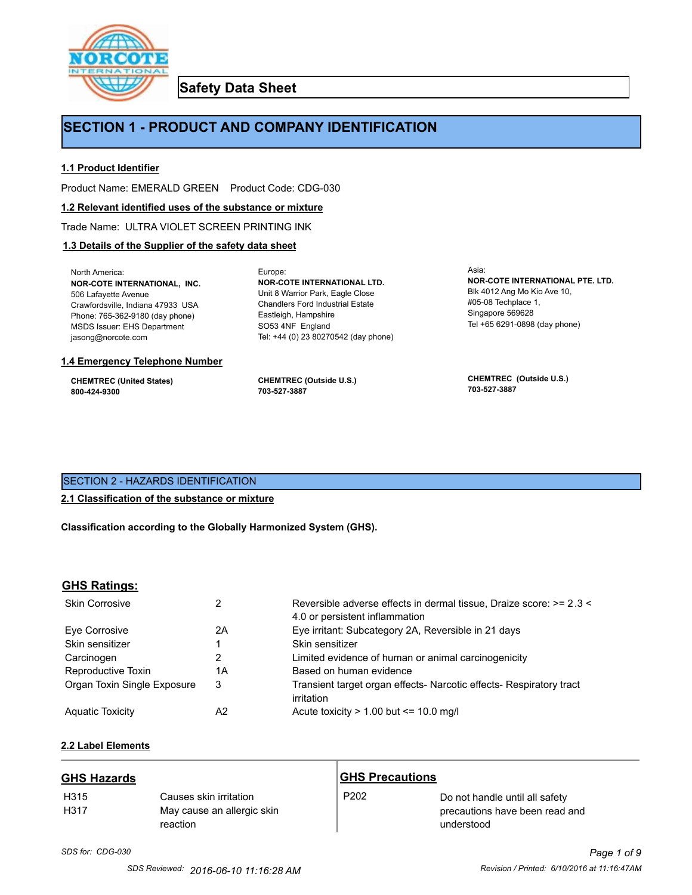

**Safety Data Sheet**

# **SECTION 1 - PRODUCT AND COMPANY IDENTIFICATION**

Europe:

# **1.1 Product Identifier**

Product Name: EMERALD GREEN Product Code: CDG-030

### **1.2 Relevant identified uses of the substance or mixture**

Trade Name: ULTRA VIOLET SCREEN PRINTING INK

# **1.3 Details of the Supplier of the safety data sheet**

North America: **NOR-COTE INTERNATIONAL, INC.** 506 Lafayette Avenue Crawfordsville, Indiana 47933 USA Phone: 765-362-9180 (day phone) MSDS Issuer: EHS Department jasong@norcote.com

### **1.4 Emergency Telephone Number**

**CHEMTREC (United States) 800-424-9300**

**CHEMTREC (Outside U.S.) 703-527-3887**

Eastleigh, Hampshire SO53 4NF England

**NOR-COTE INTERNATIONAL LTD.** Unit 8 Warrior Park, Eagle Close Chandlers Ford Industrial Estate

Tel: +44 (0) 23 80270542 (day phone)

Asia: **NOR-COTE INTERNATIONAL PTE. LTD.** Blk 4012 Ang Mo Kio Ave 10, #05-08 Techplace 1, Singapore 569628 Tel +65 6291-0898 (day phone)

**CHEMTREC (Outside U.S.) 703-527-3887**

# SECTION 2 - HAZARDS IDENTIFICATION

# **2.1 Classification of the substance or mixture**

**Classification according to the Globally Harmonized System (GHS).**

# **GHS Ratings:**

| <b>Skin Corrosive</b>       | 2  | Reversible adverse effects in dermal tissue, Draize score: >= 2.3 <<br>4.0 or persistent inflammation |
|-----------------------------|----|-------------------------------------------------------------------------------------------------------|
| Eve Corrosive               | 2A | Eye irritant: Subcategory 2A, Reversible in 21 days                                                   |
| Skin sensitizer             |    | Skin sensitizer                                                                                       |
| Carcinogen                  |    | Limited evidence of human or animal carcinogenicity                                                   |
| Reproductive Toxin          | 1A | Based on human evidence                                                                               |
| Organ Toxin Single Exposure | 3  | Transient target organ effects- Narcotic effects- Respiratory tract<br>irritation                     |
| <b>Aguatic Toxicity</b>     | A2 | Acute toxicity $> 1.00$ but $\leq 10.0$ mg/l                                                          |

# **2.2 Label Elements**

| <b>GHS Hazards</b>       |                                                                  | <b>GHS Precautions</b> |                                                                                |
|--------------------------|------------------------------------------------------------------|------------------------|--------------------------------------------------------------------------------|
| H <sub>315</sub><br>H317 | Causes skin irritation<br>May cause an allergic skin<br>reaction | P <sub>202</sub>       | Do not handle until all safety<br>precautions have been read and<br>understood |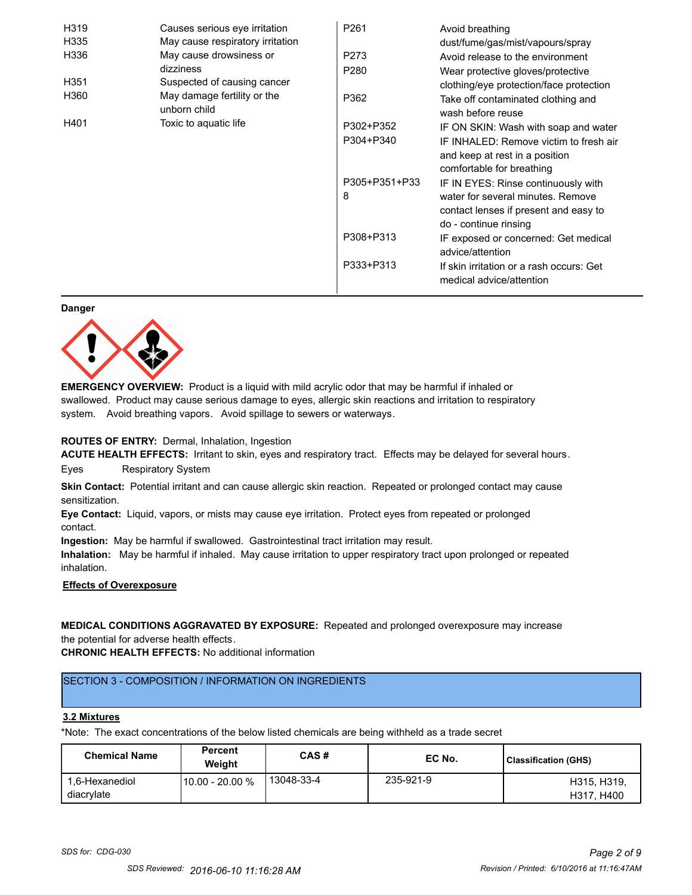| H319             | Causes serious eye irritation               | P <sub>261</sub> | Avoid breathing                                                      |
|------------------|---------------------------------------------|------------------|----------------------------------------------------------------------|
| H335             | May cause respiratory irritation            |                  | dust/fume/gas/mist/vapours/spray                                     |
| H336             | May cause drowsiness or                     | P273             | Avoid release to the environment                                     |
|                  | dizziness                                   | P <sub>280</sub> | Wear protective gloves/protective                                    |
| H <sub>351</sub> | Suspected of causing cancer                 |                  | clothing/eye protection/face protection                              |
| H360             | May damage fertility or the<br>unborn child | P362             | Take off contaminated clothing and<br>wash before reuse              |
| H401             | Toxic to aquatic life                       | P302+P352        | IF ON SKIN: Wash with soap and water                                 |
|                  |                                             | P304+P340        | IF INHALED: Remove victim to fresh air                               |
|                  |                                             |                  | and keep at rest in a position                                       |
|                  |                                             |                  | comfortable for breathing                                            |
|                  |                                             | P305+P351+P33    | IF IN EYES: Rinse continuously with                                  |
|                  |                                             | 8                | water for several minutes. Remove                                    |
|                  |                                             |                  | contact lenses if present and easy to                                |
|                  |                                             |                  | do - continue rinsing                                                |
|                  |                                             | P308+P313        | IF exposed or concerned: Get medical                                 |
|                  |                                             |                  | advice/attention                                                     |
|                  |                                             | P333+P313        | If skin irritation or a rash occurs: Get<br>medical advice/attention |

#### **Danger**



**EMERGENCY OVERVIEW:** Product is a liquid with mild acrylic odor that may be harmful if inhaled or swallowed. Product may cause serious damage to eyes, allergic skin reactions and irritation to respiratory system. Avoid breathing vapors. Avoid spillage to sewers or waterways.

### **ROUTES OF ENTRY:** Dermal, Inhalation, Ingestion

**ACUTE HEALTH EFFECTS:** Irritant to skin, eyes and respiratory tract. Effects may be delayed for several hours. Eyes Respiratory System

**Skin Contact:** Potential irritant and can cause allergic skin reaction. Repeated or prolonged contact may cause sensitization.

**Eye Contact:** Liquid, vapors, or mists may cause eye irritation. Protect eyes from repeated or prolonged contact.

**Ingestion:** May be harmful if swallowed. Gastrointestinal tract irritation may result.

**Inhalation:** May be harmful if inhaled. May cause irritation to upper respiratory tract upon prolonged or repeated inhalation.

# **Effects of Overexposure**

**MEDICAL CONDITIONS AGGRAVATED BY EXPOSURE:** Repeated and prolonged overexposure may increase the potential for adverse health effects.

**CHRONIC HEALTH EFFECTS:** No additional information

# SECTION 3 - COMPOSITION / INFORMATION ON INGREDIENTS

#### **3.2 Mixtures**

\*Note: The exact concentrations of the below listed chemicals are being withheld as a trade secret

| <b>Chemical Name</b>         | <b>Percent</b><br>Weiaht | CAS#       | EC No.    | Classification (GHS)      |
|------------------------------|--------------------------|------------|-----------|---------------------------|
| 1.6-Hexanediol<br>diacrylate | 10.00 - 20.00 %          | 13048-33-4 | 235-921-9 | H315, H319.<br>H317, H400 |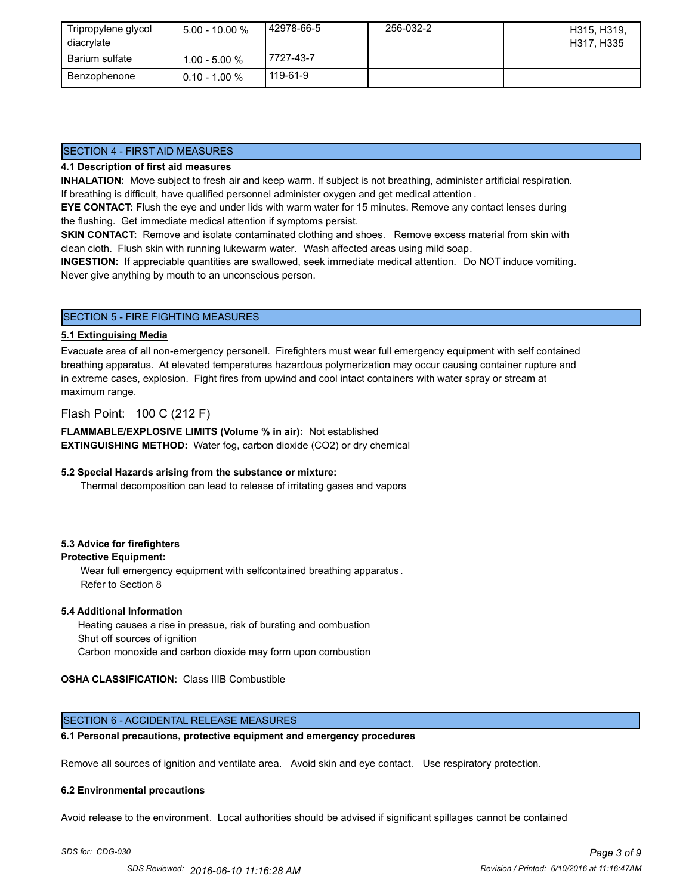| Tripropylene glycol<br>diacrylate | $15.00 - 10.00 %$ | 42978-66-5 | 256-032-2 | H315, H319,<br>H317, H335 |
|-----------------------------------|-------------------|------------|-----------|---------------------------|
| Barium sulfate                    | l1.00 - 5.00 %    | 7727-43-7  |           |                           |
| Benzophenone                      | $10.10 - 1.00 %$  | 119-61-9   |           |                           |

# SECTION 4 - FIRST AID MEASURES

### **4.1 Description of first aid measures**

**INHALATION:** Move subject to fresh air and keep warm. If subject is not breathing, administer artificial respiration. If breathing is difficult, have qualified personnel administer oxygen and get medical attention .

**EYE CONTACT:** Flush the eye and under lids with warm water for 15 minutes. Remove any contact lenses during the flushing. Get immediate medical attention if symptoms persist.

**SKIN CONTACT:** Remove and isolate contaminated clothing and shoes. Remove excess material from skin with clean cloth. Flush skin with running lukewarm water. Wash affected areas using mild soap.

**INGESTION:** If appreciable quantities are swallowed, seek immediate medical attention. Do NOT induce vomiting. Never give anything by mouth to an unconscious person.

### SECTION 5 - FIRE FIGHTING MEASURES

#### **5.1 Extinguising Media**

Evacuate area of all non-emergency personell. Firefighters must wear full emergency equipment with self contained breathing apparatus. At elevated temperatures hazardous polymerization may occur causing container rupture and in extreme cases, explosion. Fight fires from upwind and cool intact containers with water spray or stream at maximum range.

Flash Point: 100 C (212 F)

**FLAMMABLE/EXPLOSIVE LIMITS (Volume % in air):** Not established **EXTINGUISHING METHOD:** Water fog, carbon dioxide (CO2) or dry chemical

#### **5.2 Special Hazards arising from the substance or mixture:**

Thermal decomposition can lead to release of irritating gases and vapors

### **5.3 Advice for firefighters**

### **Protective Equipment:**

Wear full emergency equipment with selfcontained breathing apparatus . Refer to Section 8

#### **5.4 Additional Information**

 Heating causes a rise in pressue, risk of bursting and combustion Shut off sources of ignition Carbon monoxide and carbon dioxide may form upon combustion

**OSHA CLASSIFICATION:** Class IIIB Combustible

### SECTION 6 - ACCIDENTAL RELEASE MEASURES

#### **6.1 Personal precautions, protective equipment and emergency procedures**

Remove all sources of ignition and ventilate area. Avoid skin and eye contact. Use respiratory protection.

#### **6.2 Environmental precautions**

Avoid release to the environment. Local authorities should be advised if significant spillages cannot be contained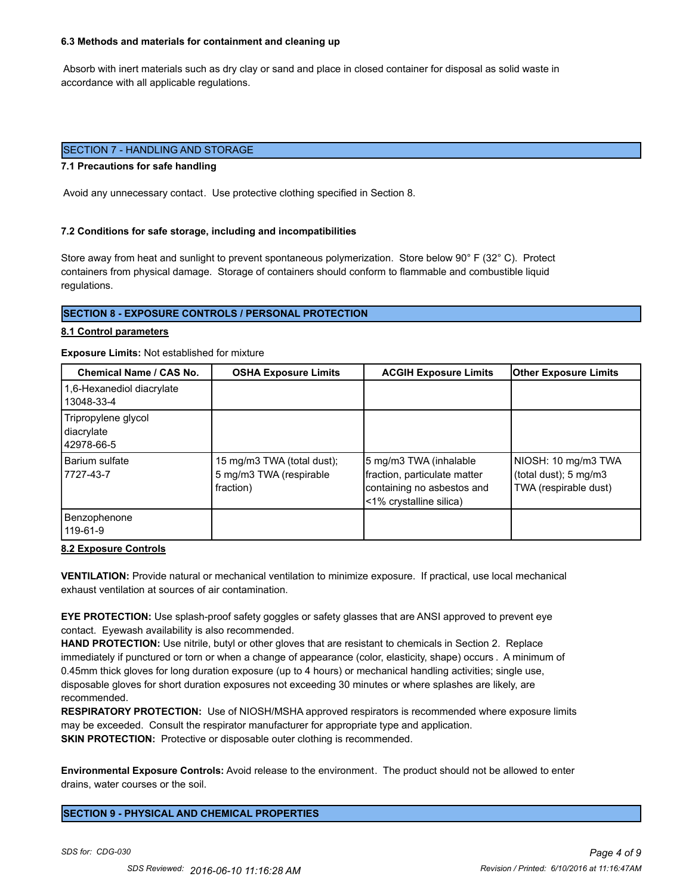#### **6.3 Methods and materials for containment and cleaning up**

 Absorb with inert materials such as dry clay or sand and place in closed container for disposal as solid waste in accordance with all applicable regulations.

# SECTION 7 - HANDLING AND STORAGE

#### **7.1 Precautions for safe handling**

Avoid any unnecessary contact. Use protective clothing specified in Section 8.

#### **7.2 Conditions for safe storage, including and incompatibilities**

Store away from heat and sunlight to prevent spontaneous polymerization. Store below 90° F (32° C). Protect containers from physical damage. Storage of containers should conform to flammable and combustible liquid regulations.

# **SECTION 8 - EXPOSURE CONTROLS / PERSONAL PROTECTION**

#### **8.1 Control parameters**

#### **Exposure Limits:** Not established for mixture

| Chemical Name / CAS No.                         | <b>OSHA Exposure Limits</b>                                        | <b>ACGIH Exposure Limits</b>                                                                                    | <b>Other Exposure Limits</b>                                          |
|-------------------------------------------------|--------------------------------------------------------------------|-----------------------------------------------------------------------------------------------------------------|-----------------------------------------------------------------------|
| 1,6-Hexanediol diacrylate<br>13048-33-4         |                                                                    |                                                                                                                 |                                                                       |
| Tripropylene glycol<br>diacrylate<br>42978-66-5 |                                                                    |                                                                                                                 |                                                                       |
| Barium sulfate<br>7727-43-7                     | 15 mg/m3 TWA (total dust);<br>5 mg/m3 TWA (respirable<br>fraction) | 5 mg/m3 TWA (inhalable<br>fraction, particulate matter<br>containing no asbestos and<br><1% crystalline silica) | NIOSH: 10 mg/m3 TWA<br>(total dust); 5 mg/m3<br>TWA (respirable dust) |
| Benzophenone<br>119-61-9                        |                                                                    |                                                                                                                 |                                                                       |

### **8.2 Exposure Controls**

**VENTILATION:** Provide natural or mechanical ventilation to minimize exposure. If practical, use local mechanical exhaust ventilation at sources of air contamination.

**EYE PROTECTION:** Use splash-proof safety goggles or safety glasses that are ANSI approved to prevent eye contact. Eyewash availability is also recommended.

**HAND PROTECTION:** Use nitrile, butyl or other gloves that are resistant to chemicals in Section 2. Replace immediately if punctured or torn or when a change of appearance (color, elasticity, shape) occurs . A minimum of 0.45mm thick gloves for long duration exposure (up to 4 hours) or mechanical handling activities; single use, disposable gloves for short duration exposures not exceeding 30 minutes or where splashes are likely, are recommended.

**RESPIRATORY PROTECTION:** Use of NIOSH/MSHA approved respirators is recommended where exposure limits may be exceeded. Consult the respirator manufacturer for appropriate type and application. **SKIN PROTECTION:** Protective or disposable outer clothing is recommended.

**Environmental Exposure Controls:** Avoid release to the environment. The product should not be allowed to enter drains, water courses or the soil.

**SECTION 9 - PHYSICAL AND CHEMICAL PROPERTIES**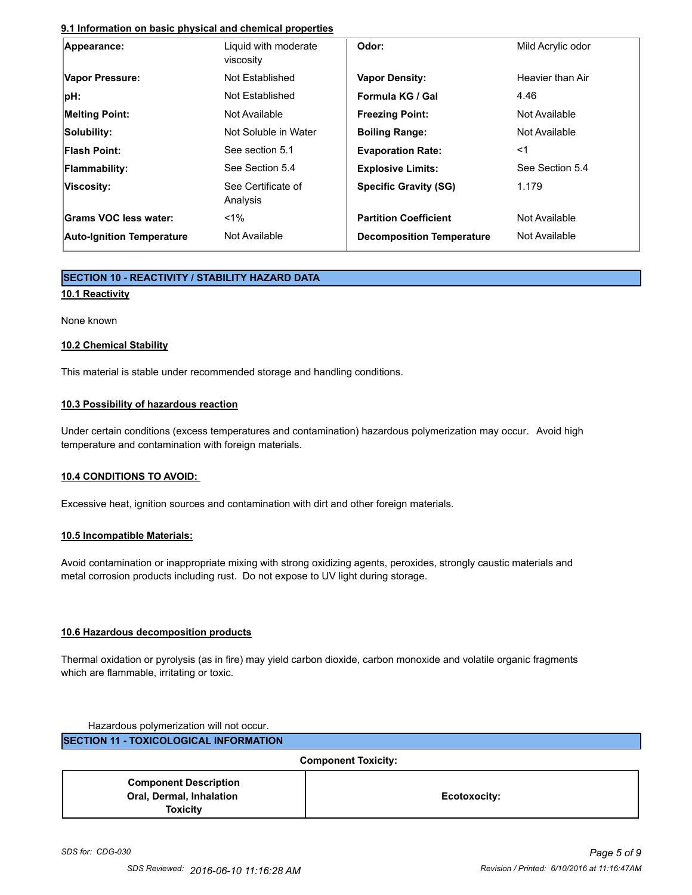# **9.1 Information on basic physical and chemical properties**

| Appearance:                      | Liquid with moderate<br>viscosity | Odor:                            | Mild Acrylic odor |
|----------------------------------|-----------------------------------|----------------------------------|-------------------|
| Vapor Pressure:                  | Not Established                   | <b>Vapor Density:</b>            | Heavier than Air  |
| pH:                              | Not Established                   | Formula KG / Gal                 | 4.46              |
| <b>Melting Point:</b>            | Not Available                     | <b>Freezing Point:</b>           | Not Available     |
| Solubility:                      | Not Soluble in Water              | <b>Boiling Range:</b>            | Not Available     |
| <b>Flash Point:</b>              | See section 5.1                   | <b>Evaporation Rate:</b>         | $<$ 1             |
| <b>Flammability:</b>             | See Section 5.4                   | <b>Explosive Limits:</b>         | See Section 5.4   |
| Viscosity:                       | See Certificate of<br>Analysis    | <b>Specific Gravity (SG)</b>     | 1.179             |
| Grams VOC less water:            | $< 1\%$                           | <b>Partition Coefficient</b>     | Not Available     |
| <b>Auto-Ignition Temperature</b> | Not Available                     | <b>Decomposition Temperature</b> | Not Available     |

# **SECTION 10 - REACTIVITY / STABILITY HAZARD DATA**

# **10.1 Reactivity**

None known

# **10.2 Chemical Stability**

This material is stable under recommended storage and handling conditions.

# **10.3 Possibility of hazardous reaction**

Under certain conditions (excess temperatures and contamination) hazardous polymerization may occur. Avoid high temperature and contamination with foreign materials.

# **10.4 CONDITIONS TO AVOID:**

Excessive heat, ignition sources and contamination with dirt and other foreign materials.

# **10.5 Incompatible Materials:**

Avoid contamination or inappropriate mixing with strong oxidizing agents, peroxides, strongly caustic materials and metal corrosion products including rust. Do not expose to UV light during storage.

# **10.6 Hazardous decomposition products**

Thermal oxidation or pyrolysis (as in fire) may yield carbon dioxide, carbon monoxide and volatile organic fragments which are flammable, irritating or toxic.

Hazardous polymerization will not occur. **SECTION 11 - TOXICOLOGICAL INFORMATION**

**Component Toxicity: Component Description Oral, Dermal, Inhalation Toxicity Ecotoxocity:**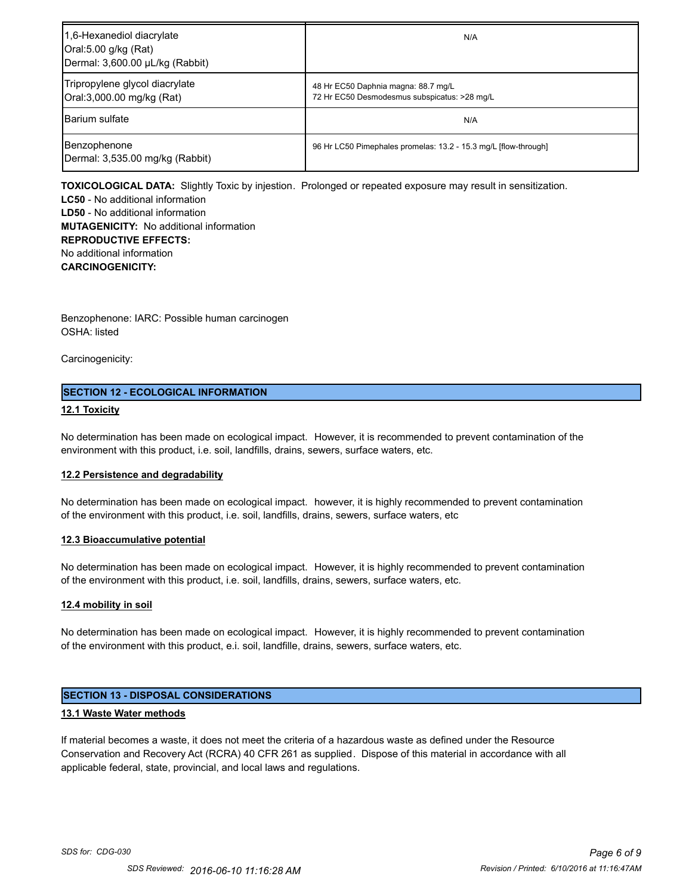| 1,6-Hexanediol diacrylate<br>Oral:5.00 g/kg (Rat)<br>Dermal: 3,600.00 µL/kg (Rabbit) | N/A                                                                                 |
|--------------------------------------------------------------------------------------|-------------------------------------------------------------------------------------|
| Tripropylene glycol diacrylate<br>Oral:3,000.00 mg/kg (Rat)                          | 48 Hr EC50 Daphnia magna: 88.7 mg/L<br>72 Hr EC50 Desmodesmus subspicatus: >28 mg/L |
| <b>Barium sulfate</b>                                                                | N/A                                                                                 |
| Benzophenone<br>Dermal: 3,535.00 mg/kg (Rabbit)                                      | 96 Hr LC50 Pimephales promelas: 13.2 - 15.3 mg/L [flow-through]                     |

**TOXICOLOGICAL DATA:** Slightly Toxic by injestion. Prolonged or repeated exposure may result in sensitization.

**LC50** - No additional information **LD50** - No additional information **MUTAGENICITY:** No additional information **REPRODUCTIVE EFFECTS:** No additional information **CARCINOGENICITY:**

Benzophenone: IARC: Possible human carcinogen OSHA: listed

Carcinogenicity:

# **SECTION 12 - ECOLOGICAL INFORMATION**

# **12.1 Toxicity**

No determination has been made on ecological impact. However, it is recommended to prevent contamination of the environment with this product, i.e. soil, landfills, drains, sewers, surface waters, etc.

### **12.2 Persistence and degradability**

No determination has been made on ecological impact. however, it is highly recommended to prevent contamination of the environment with this product, i.e. soil, landfills, drains, sewers, surface waters, etc

### **12.3 Bioaccumulative potential**

No determination has been made on ecological impact. However, it is highly recommended to prevent contamination of the environment with this product, i.e. soil, landfills, drains, sewers, surface waters, etc.

### **12.4 mobility in soil**

No determination has been made on ecological impact. However, it is highly recommended to prevent contamination of the environment with this product, e.i. soil, landfille, drains, sewers, surface waters, etc.

# **SECTION 13 - DISPOSAL CONSIDERATIONS**

### **13.1 Waste Water methods**

If material becomes a waste, it does not meet the criteria of a hazardous waste as defined under the Resource Conservation and Recovery Act (RCRA) 40 CFR 261 as supplied. Dispose of this material in accordance with all applicable federal, state, provincial, and local laws and regulations.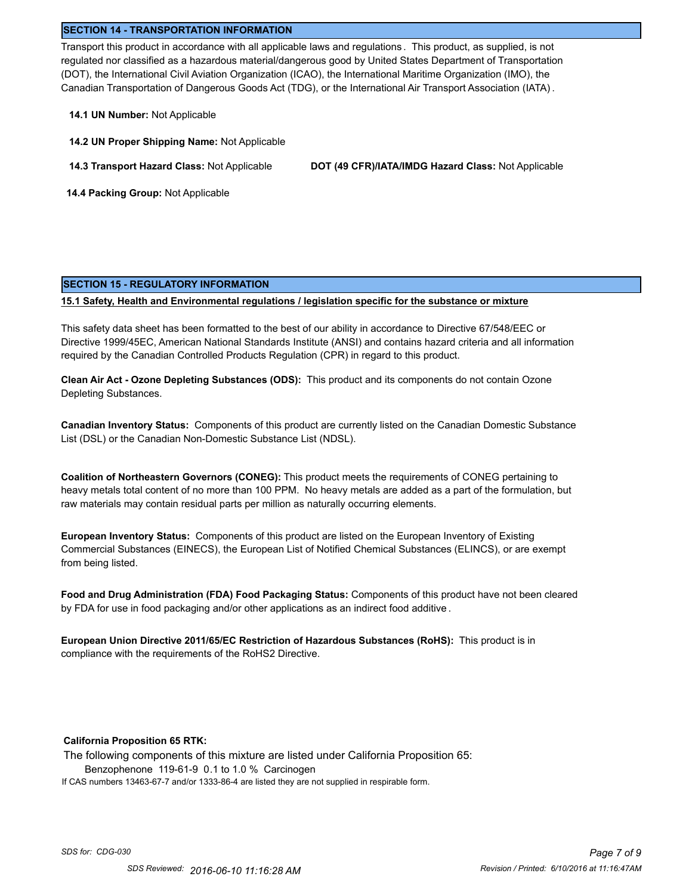### **SECTION 14 - TRANSPORTATION INFORMATION**

Transport this product in accordance with all applicable laws and regulations . This product, as supplied, is not regulated nor classified as a hazardous material/dangerous good by United States Department of Transportation (DOT), the International Civil Aviation Organization (ICAO), the International Maritime Organization (IMO), the Canadian Transportation of Dangerous Goods Act (TDG), or the International Air Transport Association (IATA) .

- **14.1 UN Number:** Not Applicable
- **14.2 UN Proper Shipping Name:** Not Applicable
- 

**14.3 Transport Hazard Class:** Not Applicable **DOT (49 CFR)/IATA/IMDG Hazard Class:** Not Applicable

 **14.4 Packing Group:** Not Applicable

#### **SECTION 15 - REGULATORY INFORMATION**

### **15.1 Safety, Health and Environmental regulations / legislation specific for the substance or mixture**

This safety data sheet has been formatted to the best of our ability in accordance to Directive 67/548/EEC or Directive 1999/45EC, American National Standards Institute (ANSI) and contains hazard criteria and all information required by the Canadian Controlled Products Regulation (CPR) in regard to this product.

**Clean Air Act - Ozone Depleting Substances (ODS):** This product and its components do not contain Ozone Depleting Substances.

**Canadian Inventory Status:** Components of this product are currently listed on the Canadian Domestic Substance List (DSL) or the Canadian Non-Domestic Substance List (NDSL).

**Coalition of Northeastern Governors (CONEG):** This product meets the requirements of CONEG pertaining to heavy metals total content of no more than 100 PPM. No heavy metals are added as a part of the formulation, but raw materials may contain residual parts per million as naturally occurring elements.

**European Inventory Status:** Components of this product are listed on the European Inventory of Existing Commercial Substances (EINECS), the European List of Notified Chemical Substances (ELINCS), or are exempt from being listed.

**Food and Drug Administration (FDA) Food Packaging Status:** Components of this product have not been cleared by FDA for use in food packaging and/or other applications as an indirect food additive .

**European Union Directive 2011/65/EC Restriction of Hazardous Substances (RoHS):** This product is in compliance with the requirements of the RoHS2 Directive.

### **California Proposition 65 RTK:**

The following components of this mixture are listed under California Proposition 65: Benzophenone 119-61-9 0.1 to 1.0 % Carcinogen If CAS numbers 13463-67-7 and/or 1333-86-4 are listed they are not supplied in respirable form.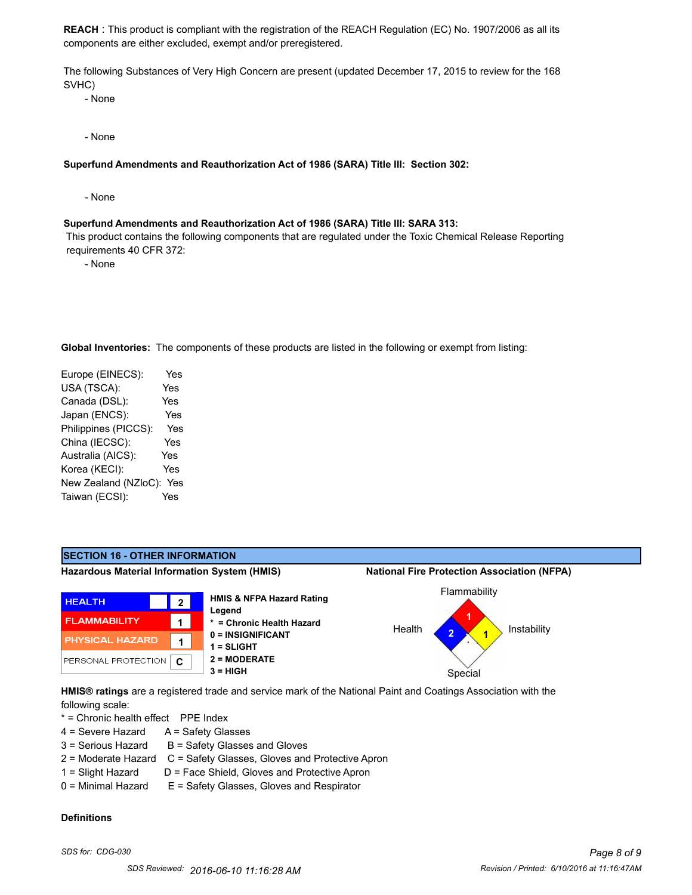**REACH** : This product is compliant with the registration of the REACH Regulation (EC) No. 1907/2006 as all its components are either excluded, exempt and/or preregistered.

The following Substances of Very High Concern are present (updated December 17, 2015 to review for the 168 SVHC)

- None

- None

### **Superfund Amendments and Reauthorization Act of 1986 (SARA) Title III: Section 302:**

- None

#### **Superfund Amendments and Reauthorization Act of 1986 (SARA) Title III: SARA 313:**

 This product contains the following components that are regulated under the Toxic Chemical Release Reporting requirements 40 CFR 372:

- None

**Global Inventories:** The components of these products are listed in the following or exempt from listing:

| Europe (EINECS):     | Yes |
|----------------------|-----|
| USA (TSCA):          | Yes |
| Canada (DSL):        | Yes |
| Japan (ENCS):        | Yes |
| Philippines (PICCS): | Yes |
| China (IECSC):       | Yes |
| Australia (AICS):    | Yes |
| Korea (KECI):        | Yes |
| New Zealand (NZloC): | Yes |
| Taiwan (ECSI):       | Yes |
|                      |     |



following scale:

\* = Chronic health effect PPE Index

- 4 = Severe Hazard A = Safety Glasses
- $3 =$  Serious Hazard  $B =$  Safety Glasses and Gloves
- 2 = Moderate Hazard C = Safety Glasses, Gloves and Protective Apron
- 1 = Slight Hazard D = Face Shield, Gloves and Protective Apron
- 0 = Minimal Hazard E = Safety Glasses, Gloves and Respirator

### **Definitions**